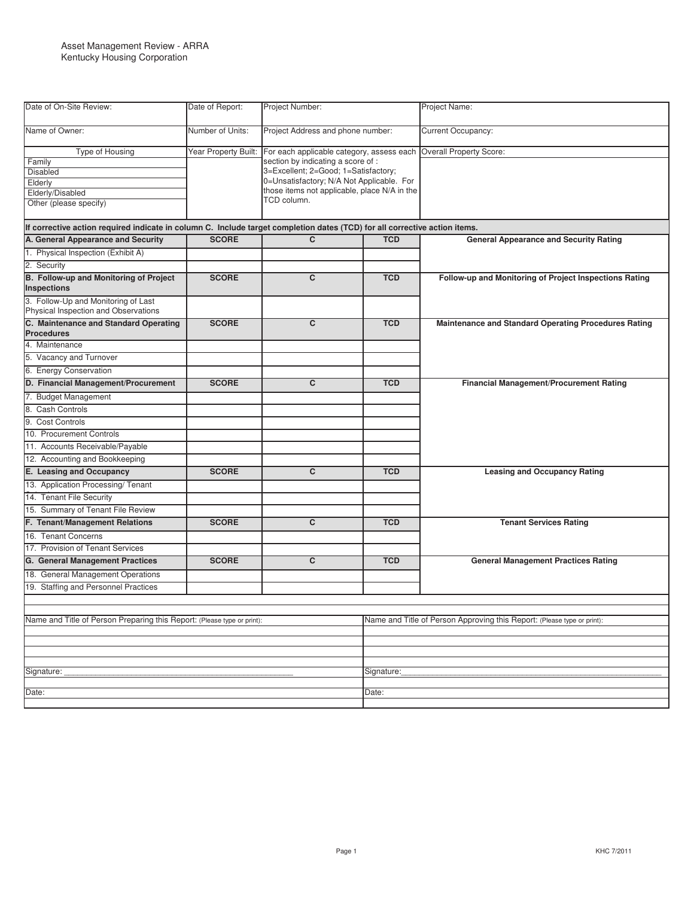| Date of On-Site Review:                                                                                                    | Date of Report:      | Project Number:                                                                                                                                                                                                                     |                                                                         | Project Name:                                          |  |
|----------------------------------------------------------------------------------------------------------------------------|----------------------|-------------------------------------------------------------------------------------------------------------------------------------------------------------------------------------------------------------------------------------|-------------------------------------------------------------------------|--------------------------------------------------------|--|
| Name of Owner:                                                                                                             | Number of Units:     | Project Address and phone number:                                                                                                                                                                                                   |                                                                         | <b>Current Occupancy:</b>                              |  |
| <b>Type of Housing</b><br>Family<br><b>Disabled</b><br>Elderly<br>Elderly/Disabled<br>Other (please specify)               | Year Property Built: | For each applicable category, assess each<br>section by indicating a score of :<br>3=Excellent; 2=Good; 1=Satisfactory;<br>0=Unsatisfactory; N/A Not Applicable. For<br>those items not applicable, place N/A in the<br>TCD column. |                                                                         | Overall Property Score:                                |  |
| If corrective action required indicate in column C. Include target completion dates (TCD) for all corrective action items. |                      |                                                                                                                                                                                                                                     |                                                                         |                                                        |  |
| A. General Appearance and Security                                                                                         | <b>SCORE</b>         | C                                                                                                                                                                                                                                   | <b>TCD</b>                                                              | <b>General Appearance and Security Rating</b>          |  |
| 1. Physical Inspection (Exhibit A)                                                                                         |                      |                                                                                                                                                                                                                                     |                                                                         |                                                        |  |
| 2. Security                                                                                                                |                      |                                                                                                                                                                                                                                     |                                                                         |                                                        |  |
| B. Follow-up and Monitoring of Project<br>Inspections                                                                      | <b>SCORE</b>         | C                                                                                                                                                                                                                                   | <b>TCD</b>                                                              | Follow-up and Monitoring of Project Inspections Rating |  |
| 3. Follow-Up and Monitoring of Last<br>Physical Inspection and Observations                                                |                      |                                                                                                                                                                                                                                     |                                                                         |                                                        |  |
| C. Maintenance and Standard Operating<br><b>Procedures</b>                                                                 | <b>SCORE</b>         | C                                                                                                                                                                                                                                   | <b>TCD</b>                                                              | Maintenance and Standard Operating Procedures Rating   |  |
| 4. Maintenance                                                                                                             |                      |                                                                                                                                                                                                                                     |                                                                         |                                                        |  |
| 5. Vacancy and Turnover                                                                                                    |                      |                                                                                                                                                                                                                                     |                                                                         |                                                        |  |
| 6. Energy Conservation                                                                                                     |                      |                                                                                                                                                                                                                                     |                                                                         |                                                        |  |
| D. Financial Management/Procurement                                                                                        | <b>SCORE</b>         | С                                                                                                                                                                                                                                   | <b>TCD</b>                                                              | Financial Management/Procurement Rating                |  |
| 7. Budget Management                                                                                                       |                      |                                                                                                                                                                                                                                     |                                                                         |                                                        |  |
| 8. Cash Controls                                                                                                           |                      |                                                                                                                                                                                                                                     |                                                                         |                                                        |  |
| 9. Cost Controls                                                                                                           |                      |                                                                                                                                                                                                                                     |                                                                         |                                                        |  |
| 10. Procurement Controls                                                                                                   |                      |                                                                                                                                                                                                                                     |                                                                         |                                                        |  |
| 11. Accounts Receivable/Payable                                                                                            |                      |                                                                                                                                                                                                                                     |                                                                         |                                                        |  |
| 12. Accounting and Bookkeeping                                                                                             |                      |                                                                                                                                                                                                                                     |                                                                         |                                                        |  |
| E. Leasing and Occupancy                                                                                                   | <b>SCORE</b>         | C                                                                                                                                                                                                                                   | <b>TCD</b>                                                              | <b>Leasing and Occupancy Rating</b>                    |  |
| 13. Application Processing/Tenant                                                                                          |                      |                                                                                                                                                                                                                                     |                                                                         |                                                        |  |
| 14. Tenant File Security                                                                                                   |                      |                                                                                                                                                                                                                                     |                                                                         |                                                        |  |
| 15. Summary of Tenant File Review                                                                                          |                      |                                                                                                                                                                                                                                     |                                                                         |                                                        |  |
| F. Tenant/Management Relations                                                                                             | <b>SCORE</b>         | C                                                                                                                                                                                                                                   | <b>TCD</b>                                                              | <b>Tenant Services Rating</b>                          |  |
| 16. Tenant Concerns                                                                                                        |                      |                                                                                                                                                                                                                                     |                                                                         |                                                        |  |
| 17. Provision of Tenant Services                                                                                           |                      |                                                                                                                                                                                                                                     |                                                                         |                                                        |  |
| G. General Management Practices                                                                                            | <b>SCORE</b>         | C                                                                                                                                                                                                                                   | <b>TCD</b>                                                              | <b>General Management Practices Rating</b>             |  |
| 18. General Management Operations                                                                                          |                      |                                                                                                                                                                                                                                     |                                                                         |                                                        |  |
| 19. Staffing and Personnel Practices                                                                                       |                      |                                                                                                                                                                                                                                     |                                                                         |                                                        |  |
|                                                                                                                            |                      |                                                                                                                                                                                                                                     |                                                                         |                                                        |  |
|                                                                                                                            |                      |                                                                                                                                                                                                                                     |                                                                         |                                                        |  |
| Name and Title of Person Preparing this Report: (Please type or print):                                                    |                      |                                                                                                                                                                                                                                     | Name and Title of Person Approving this Report: (Please type or print): |                                                        |  |
|                                                                                                                            |                      |                                                                                                                                                                                                                                     |                                                                         |                                                        |  |
|                                                                                                                            |                      |                                                                                                                                                                                                                                     |                                                                         |                                                        |  |
|                                                                                                                            |                      |                                                                                                                                                                                                                                     |                                                                         |                                                        |  |
| Signature:                                                                                                                 |                      |                                                                                                                                                                                                                                     | Signature:                                                              |                                                        |  |
| Date:                                                                                                                      |                      |                                                                                                                                                                                                                                     | Date:                                                                   |                                                        |  |
|                                                                                                                            |                      |                                                                                                                                                                                                                                     |                                                                         |                                                        |  |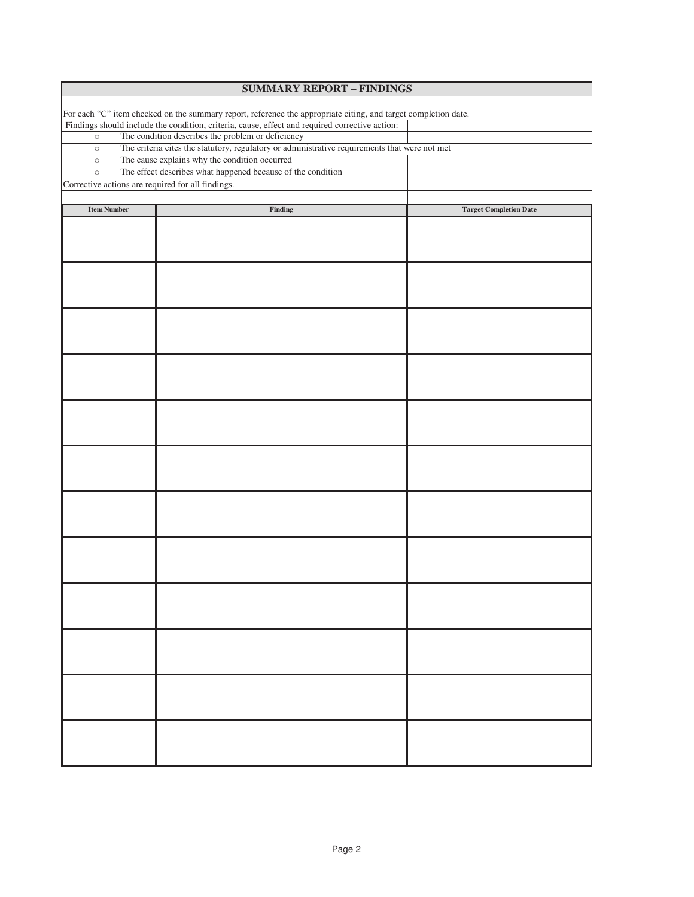| <b>SUMMARY REPORT - FINDINGS</b>                                                                               |                                                                                                |                               |  |  |
|----------------------------------------------------------------------------------------------------------------|------------------------------------------------------------------------------------------------|-------------------------------|--|--|
|                                                                                                                |                                                                                                |                               |  |  |
| For each "C" item checked on the summary report, reference the appropriate citing, and target completion date. |                                                                                                |                               |  |  |
|                                                                                                                | Findings should include the condition, criteria, cause, effect and required corrective action: |                               |  |  |
| The condition describes the problem or deficiency<br>$\circ$                                                   |                                                                                                |                               |  |  |
| $\circ$                                                                                                        | The criteria cites the statutory, regulatory or administrative requirements that were not met  |                               |  |  |
| $\circ$                                                                                                        | The cause explains why the condition occurred                                                  |                               |  |  |
| $\circ$                                                                                                        | The effect describes what happened because of the condition                                    |                               |  |  |
| Corrective actions are required for all findings.                                                              |                                                                                                |                               |  |  |
|                                                                                                                |                                                                                                |                               |  |  |
| <b>Item Number</b>                                                                                             | Finding                                                                                        | <b>Target Completion Date</b> |  |  |
|                                                                                                                |                                                                                                |                               |  |  |
|                                                                                                                |                                                                                                |                               |  |  |
|                                                                                                                |                                                                                                |                               |  |  |
|                                                                                                                |                                                                                                |                               |  |  |
|                                                                                                                |                                                                                                |                               |  |  |
|                                                                                                                |                                                                                                |                               |  |  |
|                                                                                                                |                                                                                                |                               |  |  |
|                                                                                                                |                                                                                                |                               |  |  |
|                                                                                                                |                                                                                                |                               |  |  |
|                                                                                                                |                                                                                                |                               |  |  |
|                                                                                                                |                                                                                                |                               |  |  |
|                                                                                                                |                                                                                                |                               |  |  |
|                                                                                                                |                                                                                                |                               |  |  |
|                                                                                                                |                                                                                                |                               |  |  |
|                                                                                                                |                                                                                                |                               |  |  |
|                                                                                                                |                                                                                                |                               |  |  |
|                                                                                                                |                                                                                                |                               |  |  |
|                                                                                                                |                                                                                                |                               |  |  |
|                                                                                                                |                                                                                                |                               |  |  |
|                                                                                                                |                                                                                                |                               |  |  |
|                                                                                                                |                                                                                                |                               |  |  |
|                                                                                                                |                                                                                                |                               |  |  |
|                                                                                                                |                                                                                                |                               |  |  |
|                                                                                                                |                                                                                                |                               |  |  |
|                                                                                                                |                                                                                                |                               |  |  |
|                                                                                                                |                                                                                                |                               |  |  |
|                                                                                                                |                                                                                                |                               |  |  |
|                                                                                                                |                                                                                                |                               |  |  |
|                                                                                                                |                                                                                                |                               |  |  |
|                                                                                                                |                                                                                                |                               |  |  |
|                                                                                                                |                                                                                                |                               |  |  |
|                                                                                                                |                                                                                                |                               |  |  |
|                                                                                                                |                                                                                                |                               |  |  |
|                                                                                                                |                                                                                                |                               |  |  |
|                                                                                                                |                                                                                                |                               |  |  |
|                                                                                                                |                                                                                                |                               |  |  |
|                                                                                                                |                                                                                                |                               |  |  |
|                                                                                                                |                                                                                                |                               |  |  |
|                                                                                                                |                                                                                                |                               |  |  |
|                                                                                                                |                                                                                                |                               |  |  |
|                                                                                                                |                                                                                                |                               |  |  |
|                                                                                                                |                                                                                                |                               |  |  |
|                                                                                                                |                                                                                                |                               |  |  |
|                                                                                                                |                                                                                                |                               |  |  |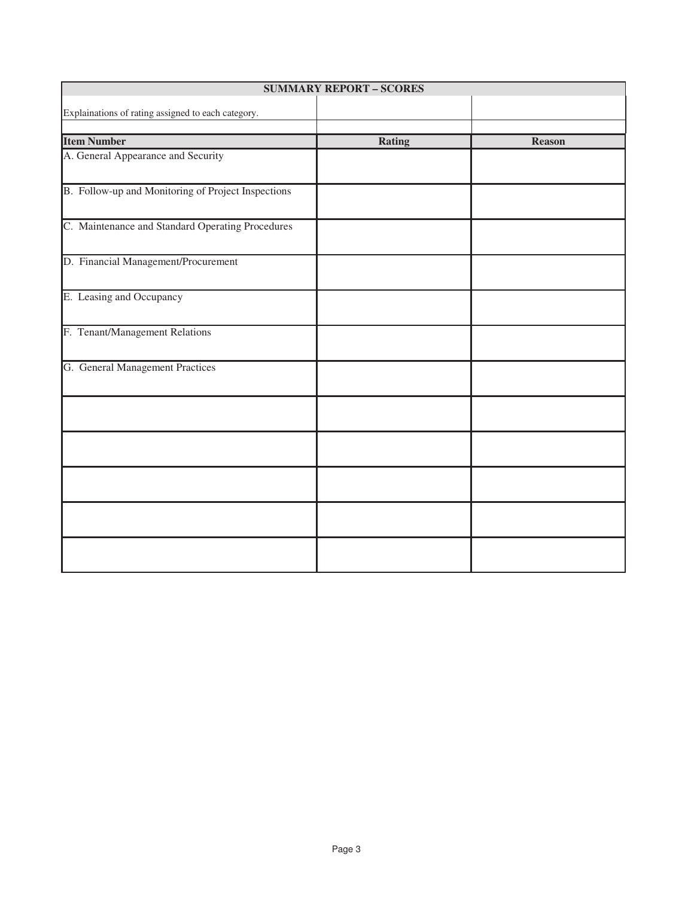| <b>SUMMARY REPORT - SCORES</b>                     |               |               |  |
|----------------------------------------------------|---------------|---------------|--|
| Explainations of rating assigned to each category. |               |               |  |
|                                                    |               |               |  |
| <b>Item Number</b>                                 | <b>Rating</b> | <b>Reason</b> |  |
| A. General Appearance and Security                 |               |               |  |
| B. Follow-up and Monitoring of Project Inspections |               |               |  |
| C. Maintenance and Standard Operating Procedures   |               |               |  |
| D. Financial Management/Procurement                |               |               |  |
| E. Leasing and Occupancy                           |               |               |  |
| F. Tenant/Management Relations                     |               |               |  |
| G. General Management Practices                    |               |               |  |
|                                                    |               |               |  |
|                                                    |               |               |  |
|                                                    |               |               |  |
|                                                    |               |               |  |
|                                                    |               |               |  |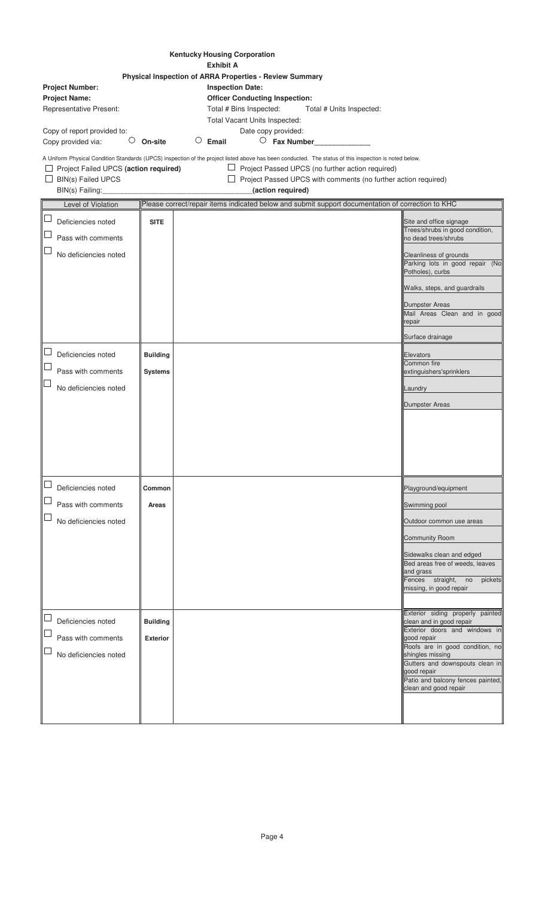| <b>Kentucky Housing Corporation</b><br><b>Exhibit A</b>                                       |                                    |                                                                                                                                                                                                                                                                                                                 |                                                                                                                                                                                                                                                                                     |
|-----------------------------------------------------------------------------------------------|------------------------------------|-----------------------------------------------------------------------------------------------------------------------------------------------------------------------------------------------------------------------------------------------------------------------------------------------------------------|-------------------------------------------------------------------------------------------------------------------------------------------------------------------------------------------------------------------------------------------------------------------------------------|
| <b>Project Number:</b><br><b>Project Name:</b><br><b>Representative Present:</b>              |                                    | Physical Inspection of ARRA Properties - Review Summary<br><b>Inspection Date:</b><br><b>Officer Conducting Inspection:</b><br>Total # Bins Inspected:<br>Total # Units Inspected:<br>Total Vacant Units Inspected:                                                                                             |                                                                                                                                                                                                                                                                                     |
| Copy of report provided to:<br>Ő<br>Copy provided via:                                        | On-site                            | Date copy provided:<br>$\circ$ Fax Number<br>Email                                                                                                                                                                                                                                                              |                                                                                                                                                                                                                                                                                     |
| Project Failed UPCS (action required)<br><b>BIN(s) Failed UPCS</b><br>⊔<br>BIN(s) Failing:    |                                    | A Uniform Physical Condition Standards (UPCS) inspection of the project listed above has been conducted. The status of this inspection is noted below.<br>$\Box$ Project Passed UPCS (no further action required)<br>$\Box$ Project Passed UPCS with comments (no further action required)<br>(action required) |                                                                                                                                                                                                                                                                                     |
| Level of Violation                                                                            |                                    | Please correct/repair items indicated below and submit support documentation of correction to KHC                                                                                                                                                                                                               |                                                                                                                                                                                                                                                                                     |
| $\sqcup$<br>Deficiencies noted<br>$\Box$<br>Pass with comments<br>No deficiencies noted       | <b>SITE</b>                        |                                                                                                                                                                                                                                                                                                                 | Site and office signage<br>Trees/shrubs in good condition,<br>no dead trees/shrubs<br>Cleanliness of grounds                                                                                                                                                                        |
|                                                                                               |                                    |                                                                                                                                                                                                                                                                                                                 | Parking lots in good repair (No<br>Potholes), curbs<br>Walks, steps, and guardrails<br>Dumpster Areas<br>Mail Areas Clean and in good<br>repair<br>Surface drainage                                                                                                                 |
| $\overline{\phantom{a}}$<br>Deficiencies noted<br>Pass with comments<br>No deficiencies noted | <b>Building</b><br><b>Systems</b>  |                                                                                                                                                                                                                                                                                                                 | Elevators<br>Common fire<br>extinguishers'sprinklers<br>Laundry<br><b>Dumpster Areas</b>                                                                                                                                                                                            |
| $\Box$<br>Deficiencies noted<br>Pass with comments<br>$\Box$<br>No deficiencies noted         | Common<br>Areas                    |                                                                                                                                                                                                                                                                                                                 | Playground/equipment<br>Swimming pool<br>Outdoor common use areas<br><b>Community Room</b><br>Sidewalks clean and edged<br>Bed areas free of weeds, leaves<br>and grass<br>Fences straight,<br>no<br>pickets<br>missing, in good repair                                             |
| Deficiencies noted<br>$\Box$<br>Pass with comments<br>No deficiencies noted                   | <b>Building</b><br><b>Exterior</b> |                                                                                                                                                                                                                                                                                                                 | Exterior siding properly painted<br>clean and in good repair<br>Exterior doors and windows in<br>good repair<br>Roofs are in good condition, no<br>shingles missing<br>Gutters and downspouts clean in<br>good repair<br>Patio and balcony fences painted,<br>clean and good repair |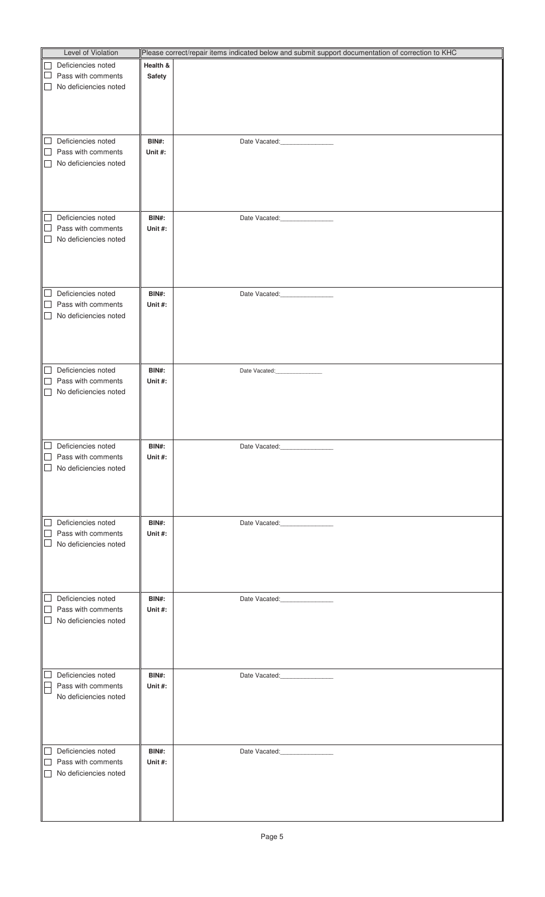| Level of Violation                                              |              | Please correct/repair items indicated below and submit support documentation of correction to KHC |
|-----------------------------------------------------------------|--------------|---------------------------------------------------------------------------------------------------|
| Deficiencies noted<br>$\Box$                                    | Health &     |                                                                                                   |
| $\Box$<br>Pass with comments                                    | Safety       |                                                                                                   |
| No deficiencies noted<br>$\Box$                                 |              |                                                                                                   |
|                                                                 |              |                                                                                                   |
|                                                                 |              |                                                                                                   |
|                                                                 |              |                                                                                                   |
|                                                                 |              |                                                                                                   |
| Deficiencies noted<br>$\Box$                                    | BIN#:        | Date Vacated: <b>Market</b>                                                                       |
| Pass with comments<br>$\Box$<br>No deficiencies noted<br>$\Box$ | Unit #:      |                                                                                                   |
|                                                                 |              |                                                                                                   |
|                                                                 |              |                                                                                                   |
|                                                                 |              |                                                                                                   |
|                                                                 |              |                                                                                                   |
| Deficiencies noted<br>$\Box$                                    | <b>BIN#:</b> | Date Vacated: <b>Market</b>                                                                       |
| $\Box$<br>Pass with comments                                    | Unit#:       |                                                                                                   |
| No deficiencies noted<br>$\Box$                                 |              |                                                                                                   |
|                                                                 |              |                                                                                                   |
|                                                                 |              |                                                                                                   |
|                                                                 |              |                                                                                                   |
| Deficiencies noted<br>⊔                                         | BIN#:        |                                                                                                   |
| $\Box$<br>Pass with comments                                    | Unit #:      |                                                                                                   |
| $\Box$<br>No deficiencies noted                                 |              |                                                                                                   |
|                                                                 |              |                                                                                                   |
|                                                                 |              |                                                                                                   |
|                                                                 |              |                                                                                                   |
|                                                                 |              |                                                                                                   |
| Deficiencies noted<br>⊔                                         | BIN#:        | Date Vacated:________________                                                                     |
| Pass with comments<br>$\Box$<br>No deficiencies noted<br>$\Box$ | Unit #:      |                                                                                                   |
|                                                                 |              |                                                                                                   |
|                                                                 |              |                                                                                                   |
|                                                                 |              |                                                                                                   |
|                                                                 |              |                                                                                                   |
| $\Box$ Deficiencies noted                                       | BIN#:        |                                                                                                   |
| $\Box$<br>Pass with comments                                    | Unit#:       |                                                                                                   |
| $\Box$<br>No deficiencies noted                                 |              |                                                                                                   |
|                                                                 |              |                                                                                                   |
|                                                                 |              |                                                                                                   |
|                                                                 |              |                                                                                                   |
| Deficiencies noted<br>$\Box$                                    | BIN#:        | Date Vacated:_________________                                                                    |
| $\Box$<br>Pass with comments                                    | Unit #:      |                                                                                                   |
| $\Box$<br>No deficiencies noted                                 |              |                                                                                                   |
|                                                                 |              |                                                                                                   |
|                                                                 |              |                                                                                                   |
|                                                                 |              |                                                                                                   |
| $\Box$<br>Deficiencies noted                                    | BIN#:        |                                                                                                   |
| $\Box$<br>Pass with comments                                    | Unit #:      | Date Vacated:_________________                                                                    |
| $\Box$<br>No deficiencies noted                                 |              |                                                                                                   |
|                                                                 |              |                                                                                                   |
|                                                                 |              |                                                                                                   |
|                                                                 |              |                                                                                                   |
|                                                                 |              |                                                                                                   |
| Deficiencies noted<br>$\Box$                                    | BIN#:        | Date Vacated:________________                                                                     |
| Pass with comments                                              | Unit #:      |                                                                                                   |
| No deficiencies noted                                           |              |                                                                                                   |
|                                                                 |              |                                                                                                   |
|                                                                 |              |                                                                                                   |
|                                                                 |              |                                                                                                   |
| Deficiencies noted<br>$\Box$                                    | <b>BIN#:</b> | Date Vacated:________________                                                                     |
| $\Box$<br>Pass with comments                                    | Unit #:      |                                                                                                   |
| No deficiencies noted<br>$\Box$                                 |              |                                                                                                   |
|                                                                 |              |                                                                                                   |
|                                                                 |              |                                                                                                   |
|                                                                 |              |                                                                                                   |
|                                                                 |              |                                                                                                   |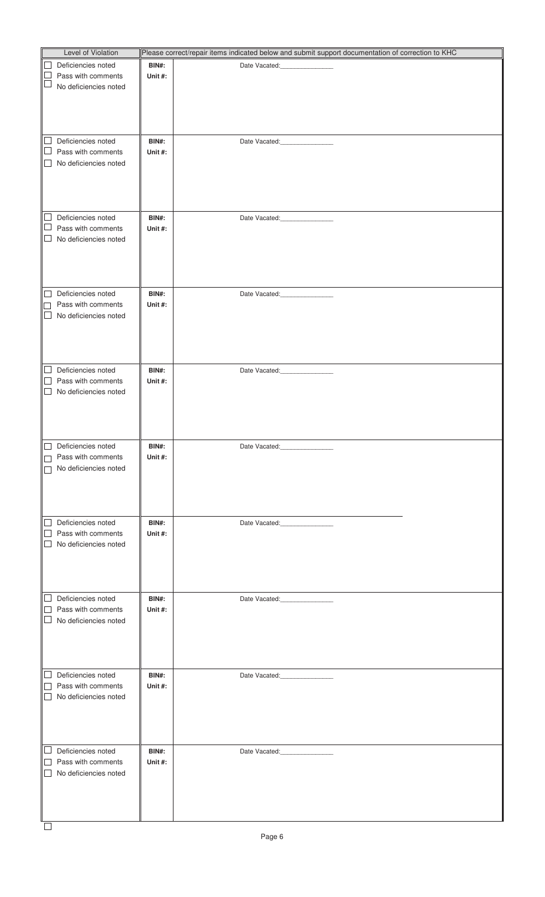| Level of Violation                     |              | Please correct/repair items indicated below and submit support documentation of correction to KHC |
|----------------------------------------|--------------|---------------------------------------------------------------------------------------------------|
| $\Box$<br>Deficiencies noted           | BIN#:        |                                                                                                   |
| $\Box$<br>Pass with comments           | Unit #:      |                                                                                                   |
| $\Box$<br>No deficiencies noted        |              |                                                                                                   |
|                                        |              |                                                                                                   |
|                                        |              |                                                                                                   |
|                                        |              |                                                                                                   |
|                                        |              |                                                                                                   |
| Deficiencies noted<br>$\Box$           | <b>BIN#:</b> | Date Vacated: 2000                                                                                |
| $\Box$<br>Pass with comments           | Unit #:      |                                                                                                   |
| $\Box$<br>No deficiencies noted        |              |                                                                                                   |
|                                        |              |                                                                                                   |
|                                        |              |                                                                                                   |
|                                        |              |                                                                                                   |
|                                        |              |                                                                                                   |
|                                        |              |                                                                                                   |
| $\Box$<br>Deficiencies noted           | <b>BIN#:</b> | Date Vacated:________________                                                                     |
| $\Box$<br>Pass with comments           | Unit #:      |                                                                                                   |
| $\Box$<br>No deficiencies noted        |              |                                                                                                   |
|                                        |              |                                                                                                   |
|                                        |              |                                                                                                   |
|                                        |              |                                                                                                   |
|                                        |              |                                                                                                   |
| Deficiencies noted<br>$\Box$           | <b>BIN#:</b> | Date Vacated:________________                                                                     |
| Pass with comments<br>П                | Unit #:      |                                                                                                   |
| $\Box$<br>No deficiencies noted        |              |                                                                                                   |
|                                        |              |                                                                                                   |
|                                        |              |                                                                                                   |
|                                        |              |                                                                                                   |
|                                        |              |                                                                                                   |
| Deficiencies noted<br>⊔                | <b>BIN#:</b> | Date Vacated:________________                                                                     |
| Pass with comments<br>$\Box$           | Unit #:      |                                                                                                   |
| $\Box$<br>No deficiencies noted        |              |                                                                                                   |
|                                        |              |                                                                                                   |
|                                        |              |                                                                                                   |
|                                        |              |                                                                                                   |
|                                        |              |                                                                                                   |
| $\Box$<br>Deficiencies noted           | BIN#:        |                                                                                                   |
| Pass with comments<br>$\Box$           | Unit#:       |                                                                                                   |
| No deficiencies noted<br>$\Box$        |              |                                                                                                   |
|                                        |              |                                                                                                   |
|                                        |              |                                                                                                   |
|                                        |              |                                                                                                   |
|                                        |              |                                                                                                   |
| Deficiencies noted<br>$\Box$           | BIN#:        | Date Vacated:_________________                                                                    |
| $\Box$<br>Pass with comments           | Unit #:      |                                                                                                   |
| $\Box$<br>No deficiencies noted        |              |                                                                                                   |
|                                        |              |                                                                                                   |
|                                        |              |                                                                                                   |
|                                        |              |                                                                                                   |
|                                        |              |                                                                                                   |
|                                        |              |                                                                                                   |
| $\Box$<br>Deficiencies noted           | <b>BIN#:</b> | Date Vacated:<br><u> 1990 - Jan Barat, politik e</u>                                              |
| $\Box$<br>Pass with comments<br>$\Box$ | Unit #:      |                                                                                                   |
| No deficiencies noted                  |              |                                                                                                   |
|                                        |              |                                                                                                   |
|                                        |              |                                                                                                   |
|                                        |              |                                                                                                   |
|                                        |              |                                                                                                   |
| $\Box$<br>Deficiencies noted           | BIN#:        | Date Vacated:________________                                                                     |
| Pass with comments<br>$\Box$           | Unit #:      |                                                                                                   |
| $\Box$<br>No deficiencies noted        |              |                                                                                                   |
|                                        |              |                                                                                                   |
|                                        |              |                                                                                                   |
|                                        |              |                                                                                                   |
|                                        |              |                                                                                                   |
| $\Box$<br>Deficiencies noted           | <b>BIN#:</b> | Date Vacated:________________                                                                     |
| Pass with comments<br>$\Box$           | Unit #:      |                                                                                                   |
| No deficiencies noted<br>$\Box$        |              |                                                                                                   |
|                                        |              |                                                                                                   |
|                                        |              |                                                                                                   |
|                                        |              |                                                                                                   |
|                                        |              |                                                                                                   |
| $\Box$                                 |              |                                                                                                   |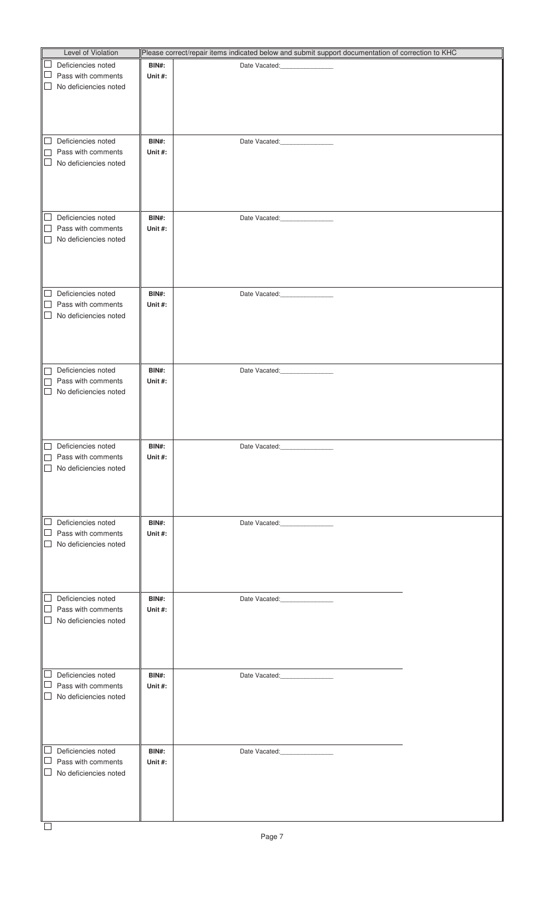| Level of Violation                                |              | Please correct/repair items indicated below and submit support documentation of correction to KHC |  |
|---------------------------------------------------|--------------|---------------------------------------------------------------------------------------------------|--|
| Deficiencies noted                                | BIN#:        | Date Vacated:                                                                                     |  |
| Pass with comments                                | Unit #:      |                                                                                                   |  |
| No deficiencies noted                             |              |                                                                                                   |  |
|                                                   |              |                                                                                                   |  |
|                                                   |              |                                                                                                   |  |
|                                                   |              |                                                                                                   |  |
|                                                   |              |                                                                                                   |  |
| Deficiencies noted                                | BIN#:        | Date Vacated:_________________                                                                    |  |
| Pass with comments                                | Unit #:      |                                                                                                   |  |
| No deficiencies noted                             |              |                                                                                                   |  |
|                                                   |              |                                                                                                   |  |
|                                                   |              |                                                                                                   |  |
|                                                   |              |                                                                                                   |  |
|                                                   |              |                                                                                                   |  |
| Deficiencies noted<br>$\Box$                      | <b>BIN#:</b> | Date Vacated: <b>Market</b>                                                                       |  |
| Pass with comments                                | Unit #:      |                                                                                                   |  |
| No deficiencies noted                             |              |                                                                                                   |  |
|                                                   |              |                                                                                                   |  |
|                                                   |              |                                                                                                   |  |
|                                                   |              |                                                                                                   |  |
|                                                   |              |                                                                                                   |  |
| Deficiencies noted<br>$\Box$                      | BIN#:        | Date Vacated:________________                                                                     |  |
| Pass with comments                                | Unit #:      |                                                                                                   |  |
| No deficiencies noted                             |              |                                                                                                   |  |
|                                                   |              |                                                                                                   |  |
|                                                   |              |                                                                                                   |  |
|                                                   |              |                                                                                                   |  |
|                                                   |              |                                                                                                   |  |
| Deficiencies noted                                | BIN#:        | Date Vacated:________________                                                                     |  |
| Pass with comments                                | Unit #:      |                                                                                                   |  |
| No deficiencies noted<br>$\mathbf{L}$             |              |                                                                                                   |  |
|                                                   |              |                                                                                                   |  |
|                                                   |              |                                                                                                   |  |
|                                                   |              |                                                                                                   |  |
|                                                   |              |                                                                                                   |  |
| Deficiencies noted<br>∥∟                          | BIN#:        | Date Vacated:<br>and the control of the control                                                   |  |
| Pass with comments                                | Unit #:      |                                                                                                   |  |
| No deficiencies noted<br>$\vert$ $\vert$          |              |                                                                                                   |  |
|                                                   |              |                                                                                                   |  |
|                                                   |              |                                                                                                   |  |
|                                                   |              |                                                                                                   |  |
|                                                   |              |                                                                                                   |  |
| Deficiencies noted<br>$\Box$                      | BIN#:        | Date Vacated:<br><u> 1990 - Jan Barbara III, martx</u>                                            |  |
| Pass with comments                                | Unit #:      |                                                                                                   |  |
| No deficiencies noted                             |              |                                                                                                   |  |
|                                                   |              |                                                                                                   |  |
|                                                   |              |                                                                                                   |  |
|                                                   |              |                                                                                                   |  |
|                                                   |              |                                                                                                   |  |
| $\mathbb{L}$<br>Deficiencies noted                | <b>BIN#:</b> | Date Vacated:_________________                                                                    |  |
| Pass with comments                                | Unit #:      |                                                                                                   |  |
| No deficiencies noted                             |              |                                                                                                   |  |
|                                                   |              |                                                                                                   |  |
|                                                   |              |                                                                                                   |  |
|                                                   |              |                                                                                                   |  |
|                                                   |              |                                                                                                   |  |
| Deficiencies noted                                | BIN#:        | Date Vacated:__________________                                                                   |  |
| Pass with comments                                | Unit #:      |                                                                                                   |  |
| No deficiencies noted<br>$\overline{\phantom{a}}$ |              |                                                                                                   |  |
|                                                   |              |                                                                                                   |  |
|                                                   |              |                                                                                                   |  |
|                                                   |              |                                                                                                   |  |
|                                                   |              |                                                                                                   |  |
| Deficiencies noted                                | <b>BIN#:</b> | Date Vacated:_________________                                                                    |  |
| Pass with comments                                | Unit #:      |                                                                                                   |  |
| No deficiencies noted                             |              |                                                                                                   |  |
|                                                   |              |                                                                                                   |  |
|                                                   |              |                                                                                                   |  |
|                                                   |              |                                                                                                   |  |
|                                                   |              |                                                                                                   |  |
| $\Box$                                            |              |                                                                                                   |  |
|                                                   |              |                                                                                                   |  |